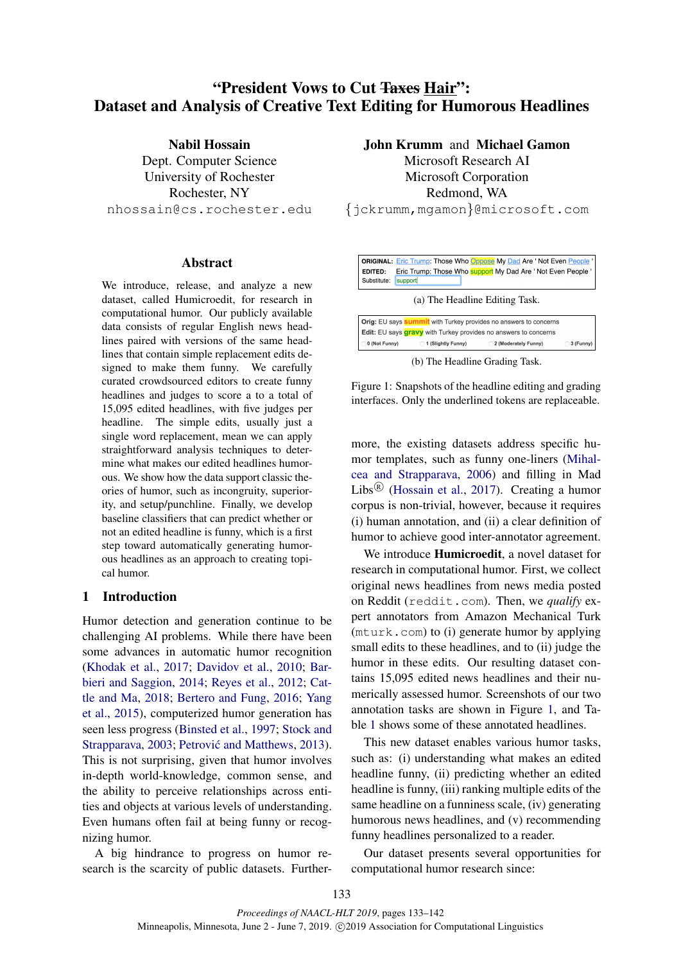# "President Vows to Cut Taxes Hair": Dataset and Analysis of Creative Text Editing for Humorous Headlines

Nabil Hossain Dept. Computer Science University of Rochester Rochester, NY nhossain@cs.rochester.edu

#### Abstract

We introduce, release, and analyze a new dataset, called Humicroedit, for research in computational humor. Our publicly available data consists of regular English news headlines paired with versions of the same headlines that contain simple replacement edits designed to make them funny. We carefully curated crowdsourced editors to create funny headlines and judges to score a to a total of 15,095 edited headlines, with five judges per headline. The simple edits, usually just a single word replacement, mean we can apply straightforward analysis techniques to determine what makes our edited headlines humorous. We show how the data support classic theories of humor, such as incongruity, superiority, and setup/punchline. Finally, we develop baseline classifiers that can predict whether or not an edited headline is funny, which is a first step toward automatically generating humorous headlines as an approach to creating topical humor.

## 1 Introduction

Humor detection and generation continue to be challenging AI problems. While there have been some advances in automatic humor recognition (Khodak et al., 2017; Davidov et al., 2010; Barbieri and Saggion, 2014; Reyes et al., 2012; Cattle and Ma, 2018; Bertero and Fung, 2016; Yang et al., 2015), computerized humor generation has seen less progress (Binsted et al., 1997; Stock and Strapparava, 2003; Petrović and Matthews, 2013). This is not surprising, given that humor involves in-depth world-knowledge, common sense, and the ability to perceive relationships across entities and objects at various levels of understanding. Even humans often fail at being funny or recognizing humor.

A big hindrance to progress on humor research is the scarcity of public datasets. Further-

## John Krumm and Michael Gamon

Microsoft Research AI Microsoft Corporation Redmond, WA

{jckrumm,mgamon}@microsoft.com



(b) The Headline Grading Task.

Figure 1: Snapshots of the headline editing and grading interfaces. Only the underlined tokens are replaceable.

more, the existing datasets address specific humor templates, such as funny one-liners (Mihalcea and Strapparava, 2006) and filling in Mad Libs<sup>®</sup> (Hossain et al., 2017). Creating a humor corpus is non-trivial, however, because it requires (i) human annotation, and (ii) a clear definition of humor to achieve good inter-annotator agreement.

We introduce Humicroedit, a novel dataset for research in computational humor. First, we collect original news headlines from news media posted on Reddit (reddit.com). Then, we *qualify* expert annotators from Amazon Mechanical Turk (mturk.com) to (i) generate humor by applying small edits to these headlines, and to (ii) judge the humor in these edits. Our resulting dataset contains 15,095 edited news headlines and their numerically assessed humor. Screenshots of our two annotation tasks are shown in Figure 1, and Table 1 shows some of these annotated headlines.

This new dataset enables various humor tasks, such as: (i) understanding what makes an edited headline funny, (ii) predicting whether an edited headline is funny, (iii) ranking multiple edits of the same headline on a funniness scale, (iv) generating humorous news headlines, and (v) recommending funny headlines personalized to a reader.

Our dataset presents several opportunities for computational humor research since: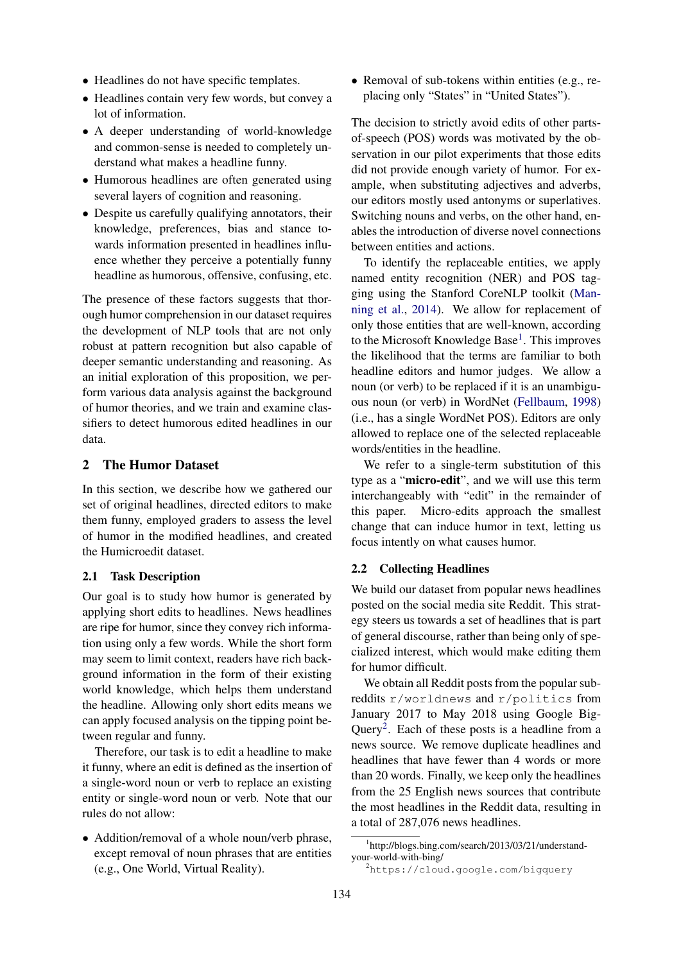- Headlines do not have specific templates.
- Headlines contain very few words, but convey a lot of information.
- A deeper understanding of world-knowledge and common-sense is needed to completely understand what makes a headline funny.
- Humorous headlines are often generated using several layers of cognition and reasoning.
- Despite us carefully qualifying annotators, their knowledge, preferences, bias and stance towards information presented in headlines influence whether they perceive a potentially funny headline as humorous, offensive, confusing, etc.

The presence of these factors suggests that thorough humor comprehension in our dataset requires the development of NLP tools that are not only robust at pattern recognition but also capable of deeper semantic understanding and reasoning. As an initial exploration of this proposition, we perform various data analysis against the background of humor theories, and we train and examine classifiers to detect humorous edited headlines in our data.

## 2 The Humor Dataset

In this section, we describe how we gathered our set of original headlines, directed editors to make them funny, employed graders to assess the level of humor in the modified headlines, and created the Humicroedit dataset.

#### 2.1 Task Description

Our goal is to study how humor is generated by applying short edits to headlines. News headlines are ripe for humor, since they convey rich information using only a few words. While the short form may seem to limit context, readers have rich background information in the form of their existing world knowledge, which helps them understand the headline. Allowing only short edits means we can apply focused analysis on the tipping point between regular and funny.

Therefore, our task is to edit a headline to make it funny, where an edit is defined as the insertion of a single-word noun or verb to replace an existing entity or single-word noun or verb. Note that our rules do not allow:

• Addition/removal of a whole noun/verb phrase, except removal of noun phrases that are entities (e.g., One World, Virtual Reality).

• Removal of sub-tokens within entities (e.g., replacing only "States" in "United States").

The decision to strictly avoid edits of other partsof-speech (POS) words was motivated by the observation in our pilot experiments that those edits did not provide enough variety of humor. For example, when substituting adjectives and adverbs, our editors mostly used antonyms or superlatives. Switching nouns and verbs, on the other hand, enables the introduction of diverse novel connections between entities and actions.

To identify the replaceable entities, we apply named entity recognition (NER) and POS tagging using the Stanford CoreNLP toolkit (Manning et al., 2014). We allow for replacement of only those entities that are well-known, according to the Microsoft Knowledge Base<sup>1</sup>. This improves the likelihood that the terms are familiar to both headline editors and humor judges. We allow a noun (or verb) to be replaced if it is an unambiguous noun (or verb) in WordNet (Fellbaum, 1998) (i.e., has a single WordNet POS). Editors are only allowed to replace one of the selected replaceable words/entities in the headline.

We refer to a single-term substitution of this type as a "micro-edit", and we will use this term interchangeably with "edit" in the remainder of this paper. Micro-edits approach the smallest change that can induce humor in text, letting us focus intently on what causes humor.

## 2.2 Collecting Headlines

We build our dataset from popular news headlines posted on the social media site Reddit. This strategy steers us towards a set of headlines that is part of general discourse, rather than being only of specialized interest, which would make editing them for humor difficult.

We obtain all Reddit posts from the popular subreddits r/worldnews and r/politics from January 2017 to May 2018 using Google Big-Query<sup>2</sup>. Each of these posts is a headline from a news source. We remove duplicate headlines and headlines that have fewer than 4 words or more than 20 words. Finally, we keep only the headlines from the 25 English news sources that contribute the most headlines in the Reddit data, resulting in a total of 287,076 news headlines.

<sup>1</sup> http://blogs.bing.com/search/2013/03/21/understandyour-world-with-bing/

<sup>2</sup>https://cloud.google.com/bigquery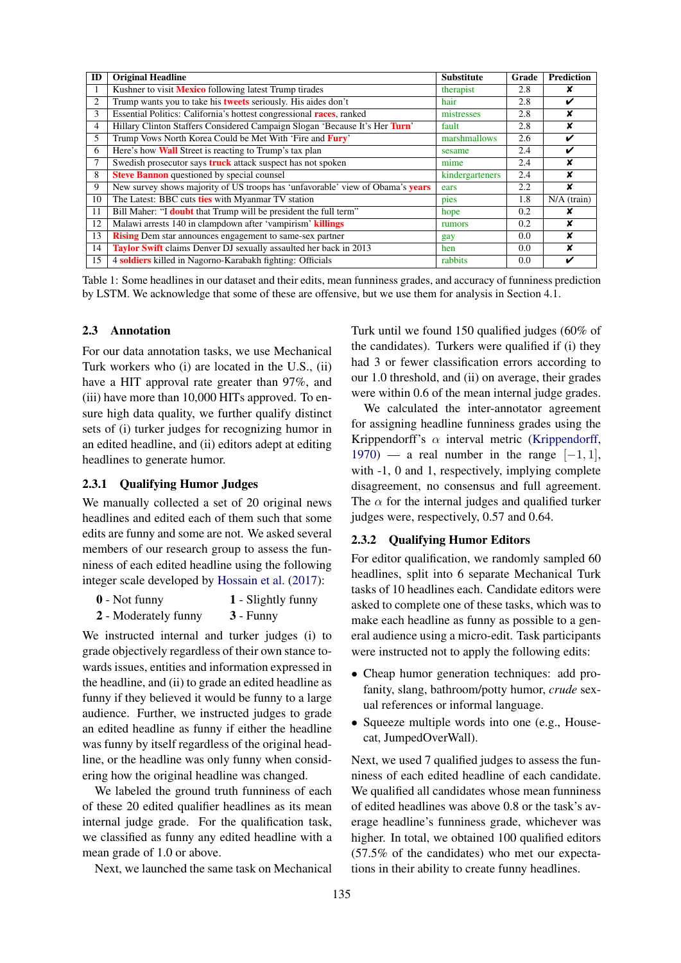| ID             | <b>Original Headline</b>                                                              | <b>Substitute</b> | Grade         | <b>Prediction</b> |
|----------------|---------------------------------------------------------------------------------------|-------------------|---------------|-------------------|
|                | Kushner to visit <b>Mexico</b> following latest Trump tirades                         | therapist         | 2.8           |                   |
| 2              | Trump wants you to take his <b>tweets</b> seriously. His aides don't                  | hair              | 2.8           | ✓                 |
| 3              | Essential Politics: California's hottest congressional <b>races</b> , ranked          | mistresses        | 2.8           | x                 |
| $\overline{4}$ | Hillary Clinton Staffers Considered Campaign Slogan 'Because It's Her Turn'           | fault             | 2.8           | x                 |
| 5              | Trump Vows North Korea Could be Met With 'Fire and Fury'                              | marshmallows      | 2.6           | ✔                 |
| 6              | Here's how <b>Wall</b> Street is reacting to Trump's tax plan                         | sesame            | 2.4           | ✓                 |
|                | Swedish prosecutor says <b>truck</b> attack suspect has not spoken                    | mime              | 2.4           | x                 |
| 8              | Steve Bannon questioned by special counsel                                            | kindergarteners   | 2.4           | x                 |
| 9              | New survey shows majority of US troops has 'unfavorable' view of Obama's <b>years</b> | ears              | $2.2\,$       | x                 |
| 10             | The Latest: BBC cuts ties with Myanmar TV station                                     | pies              | 1.8           | $N/A$ (train)     |
| 11             | Bill Maher: "I <b>doubt</b> that Trump will be president the full term"               | hope              | 0.2           |                   |
| 12             | Malawi arrests 140 in clampdown after 'vampirism' killings                            | rumors            | $0.2^{\circ}$ | x                 |
| 13             | <b>Rising</b> Dem star announces engagement to same-sex partner                       | gay               | 0.0           | x                 |
| 14             | <b>Taylor Swift</b> claims Denver DJ sexually assaulted her back in 2013              | hen               | 0.0           | ¥                 |
| 15             | 4 soldiers killed in Nagorno-Karabakh fighting: Officials                             | rabbits           | 0.0           | v                 |

Table 1: Some headlines in our dataset and their edits, mean funniness grades, and accuracy of funniness prediction by LSTM. We acknowledge that some of these are offensive, but we use them for analysis in Section 4.1.

#### 2.3 Annotation

For our data annotation tasks, we use Mechanical Turk workers who (i) are located in the U.S., (ii) have a HIT approval rate greater than 97%, and (iii) have more than 10,000 HITs approved. To ensure high data quality, we further qualify distinct sets of (i) turker judges for recognizing humor in an edited headline, and (ii) editors adept at editing headlines to generate humor.

## 2.3.1 Qualifying Humor Judges

We manually collected a set of 20 original news headlines and edited each of them such that some edits are funny and some are not. We asked several members of our research group to assess the funniness of each edited headline using the following integer scale developed by Hossain et al. (2017):

- 0 Not funny 1 Slightly funny
- 2 Moderately funny 3 Funny

We instructed internal and turker judges (i) to grade objectively regardless of their own stance towards issues, entities and information expressed in the headline, and (ii) to grade an edited headline as funny if they believed it would be funny to a large audience. Further, we instructed judges to grade an edited headline as funny if either the headline was funny by itself regardless of the original headline, or the headline was only funny when considering how the original headline was changed.

We labeled the ground truth funniness of each of these 20 edited qualifier headlines as its mean internal judge grade. For the qualification task, we classified as funny any edited headline with a mean grade of 1.0 or above.

Next, we launched the same task on Mechanical

Turk until we found 150 qualified judges (60% of the candidates). Turkers were qualified if (i) they had 3 or fewer classification errors according to our 1.0 threshold, and (ii) on average, their grades were within 0.6 of the mean internal judge grades.

We calculated the inter-annotator agreement for assigning headline funniness grades using the Krippendorff's  $\alpha$  interval metric (Krippendorff,  $1970$ ) — a real number in the range  $[-1, 1]$ , with  $-1$ , 0 and 1, respectively, implying complete disagreement, no consensus and full agreement. The  $\alpha$  for the internal judges and qualified turker judges were, respectively, 0.57 and 0.64.

## 2.3.2 Qualifying Humor Editors

For editor qualification, we randomly sampled 60 headlines, split into 6 separate Mechanical Turk tasks of 10 headlines each. Candidate editors were asked to complete one of these tasks, which was to make each headline as funny as possible to a general audience using a micro-edit. Task participants were instructed not to apply the following edits:

- Cheap humor generation techniques: add profanity, slang, bathroom/potty humor, *crude* sexual references or informal language.
- Squeeze multiple words into one (e.g., Housecat, JumpedOverWall).

Next, we used 7 qualified judges to assess the funniness of each edited headline of each candidate. We qualified all candidates whose mean funniness of edited headlines was above 0.8 or the task's average headline's funniness grade, whichever was higher. In total, we obtained 100 qualified editors (57.5% of the candidates) who met our expectations in their ability to create funny headlines.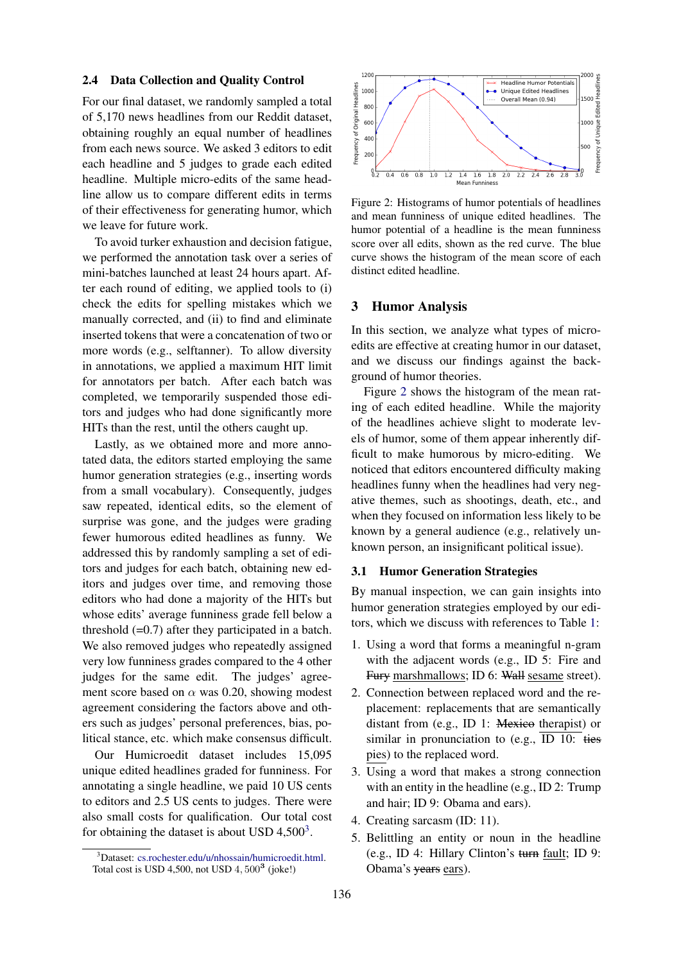## 2.4 Data Collection and Quality Control

For our final dataset, we randomly sampled a total of 5,170 news headlines from our Reddit dataset, obtaining roughly an equal number of headlines from each news source. We asked 3 editors to edit each headline and 5 judges to grade each edited headline. Multiple micro-edits of the same headline allow us to compare different edits in terms of their effectiveness for generating humor, which we leave for future work.

To avoid turker exhaustion and decision fatigue, we performed the annotation task over a series of mini-batches launched at least 24 hours apart. After each round of editing, we applied tools to (i) check the edits for spelling mistakes which we manually corrected, and (ii) to find and eliminate inserted tokens that were a concatenation of two or more words (e.g., selftanner). To allow diversity in annotations, we applied a maximum HIT limit for annotators per batch. After each batch was completed, we temporarily suspended those editors and judges who had done significantly more HITs than the rest, until the others caught up.

Lastly, as we obtained more and more annotated data, the editors started employing the same humor generation strategies (e.g., inserting words from a small vocabulary). Consequently, judges saw repeated, identical edits, so the element of surprise was gone, and the judges were grading fewer humorous edited headlines as funny. We addressed this by randomly sampling a set of editors and judges for each batch, obtaining new editors and judges over time, and removing those editors who had done a majority of the HITs but whose edits' average funniness grade fell below a threshold  $(=0.7)$  after they participated in a batch. We also removed judges who repeatedly assigned very low funniness grades compared to the 4 other judges for the same edit. The judges' agreement score based on  $\alpha$  was 0.20, showing modest agreement considering the factors above and others such as judges' personal preferences, bias, political stance, etc. which make consensus difficult.

Our Humicroedit dataset includes 15,095 unique edited headlines graded for funniness. For annotating a single headline, we paid 10 US cents to editors and 2.5 US cents to judges. There were also small costs for qualification. Our total cost for obtaining the dataset is about USD  $4,500^3$ .



Figure 2: Histograms of humor potentials of headlines and mean funniness of unique edited headlines. The humor potential of a headline is the mean funniness score over all edits, shown as the red curve. The blue curve shows the histogram of the mean score of each distinct edited headline.

## 3 Humor Analysis

In this section, we analyze what types of microedits are effective at creating humor in our dataset, and we discuss our findings against the background of humor theories.

Figure 2 shows the histogram of the mean rating of each edited headline. While the majority of the headlines achieve slight to moderate levels of humor, some of them appear inherently difficult to make humorous by micro-editing. We noticed that editors encountered difficulty making headlines funny when the headlines had very negative themes, such as shootings, death, etc., and when they focused on information less likely to be known by a general audience (e.g., relatively unknown person, an insignificant political issue).

## 3.1 Humor Generation Strategies

By manual inspection, we can gain insights into humor generation strategies employed by our editors, which we discuss with references to Table 1:

- 1. Using a word that forms a meaningful n-gram with the adjacent words (e.g., ID 5: Fire and Fury marshmallows; ID 6: Wall sesame street).
- 2. Connection between replaced word and the replacement: replacements that are semantically distant from (e.g., ID 1: Mexico therapist) or similar in pronunciation to (e.g., ID 10: ties pies) to the replaced word.
- 3. Using a word that makes a strong connection with an entity in the headline (e.g., ID 2: Trump and hair; ID 9: Obama and ears).
- 4. Creating sarcasm (ID: 11).
- 5. Belittling an entity or noun in the headline (e.g., ID 4: Hillary Clinton's turn fault; ID 9: Obama's years ears).

<sup>&</sup>lt;sup>3</sup>Dataset: cs.rochester.edu/u/nhossain/humicroedit.html. Total cost is USD 4,500, not USD  $4,500^3$  (joke!)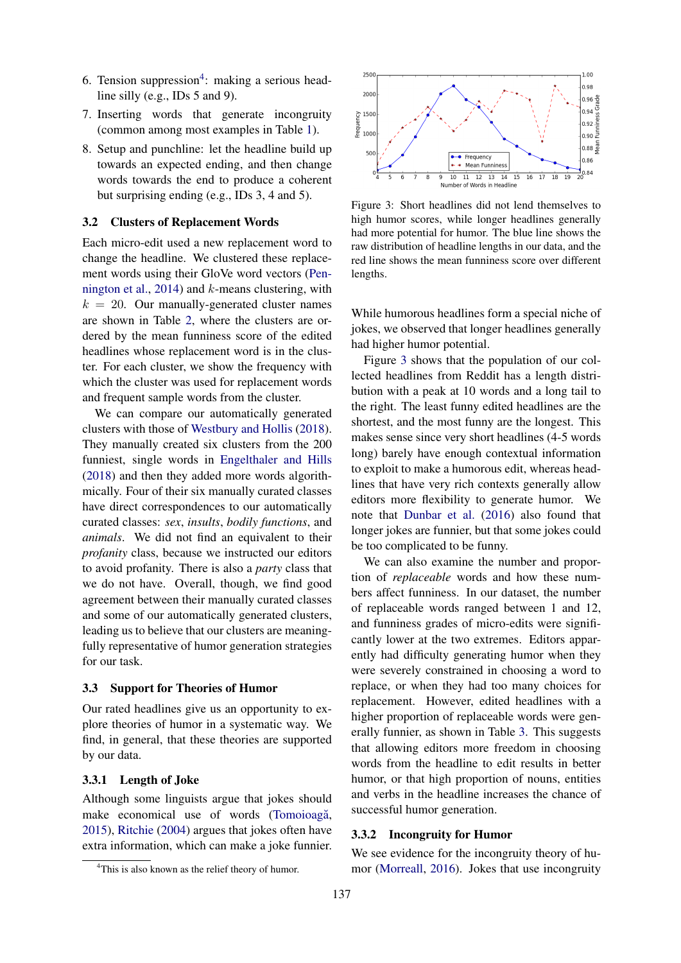- 6. Tension suppression<sup>4</sup>: making a serious headline silly (e.g., IDs 5 and 9).
- 7. Inserting words that generate incongruity (common among most examples in Table 1).
- 8. Setup and punchline: let the headline build up towards an expected ending, and then change words towards the end to produce a coherent but surprising ending (e.g., IDs 3, 4 and 5).

#### 3.2 Clusters of Replacement Words

Each micro-edit used a new replacement word to change the headline. We clustered these replacement words using their GloVe word vectors (Pennington et al., 2014) and  $k$ -means clustering, with  $k = 20$ . Our manually-generated cluster names are shown in Table 2, where the clusters are ordered by the mean funniness score of the edited headlines whose replacement word is in the cluster. For each cluster, we show the frequency with which the cluster was used for replacement words and frequent sample words from the cluster.

We can compare our automatically generated clusters with those of Westbury and Hollis (2018). They manually created six clusters from the 200 funniest, single words in Engelthaler and Hills (2018) and then they added more words algorithmically. Four of their six manually curated classes have direct correspondences to our automatically curated classes: *sex*, *insults*, *bodily functions*, and *animals*. We did not find an equivalent to their *profanity* class, because we instructed our editors to avoid profanity. There is also a *party* class that we do not have. Overall, though, we find good agreement between their manually curated classes and some of our automatically generated clusters, leading us to believe that our clusters are meaningfully representative of humor generation strategies for our task.

#### 3.3 Support for Theories of Humor

Our rated headlines give us an opportunity to explore theories of humor in a systematic way. We find, in general, that these theories are supported by our data.

#### 3.3.1 Length of Joke

Although some linguists argue that jokes should make economical use of words (Tomoioagă, 2015), Ritchie (2004) argues that jokes often have extra information, which can make a joke funnier.



Figure 3: Short headlines did not lend themselves to high humor scores, while longer headlines generally had more potential for humor. The blue line shows the raw distribution of headline lengths in our data, and the red line shows the mean funniness score over different lengths.

While humorous headlines form a special niche of jokes, we observed that longer headlines generally had higher humor potential.

Figure 3 shows that the population of our collected headlines from Reddit has a length distribution with a peak at 10 words and a long tail to the right. The least funny edited headlines are the shortest, and the most funny are the longest. This makes sense since very short headlines (4-5 words long) barely have enough contextual information to exploit to make a humorous edit, whereas headlines that have very rich contexts generally allow editors more flexibility to generate humor. We note that Dunbar et al. (2016) also found that longer jokes are funnier, but that some jokes could be too complicated to be funny.

We can also examine the number and proportion of *replaceable* words and how these numbers affect funniness. In our dataset, the number of replaceable words ranged between 1 and 12, and funniness grades of micro-edits were significantly lower at the two extremes. Editors apparently had difficulty generating humor when they were severely constrained in choosing a word to replace, or when they had too many choices for replacement. However, edited headlines with a higher proportion of replaceable words were generally funnier, as shown in Table 3. This suggests that allowing editors more freedom in choosing words from the headline to edit results in better humor, or that high proportion of nouns, entities and verbs in the headline increases the chance of successful humor generation.

## 3.3.2 Incongruity for Humor

We see evidence for the incongruity theory of humor (Morreall, 2016). Jokes that use incongruity

<sup>&</sup>lt;sup>4</sup>This is also known as the relief theory of humor.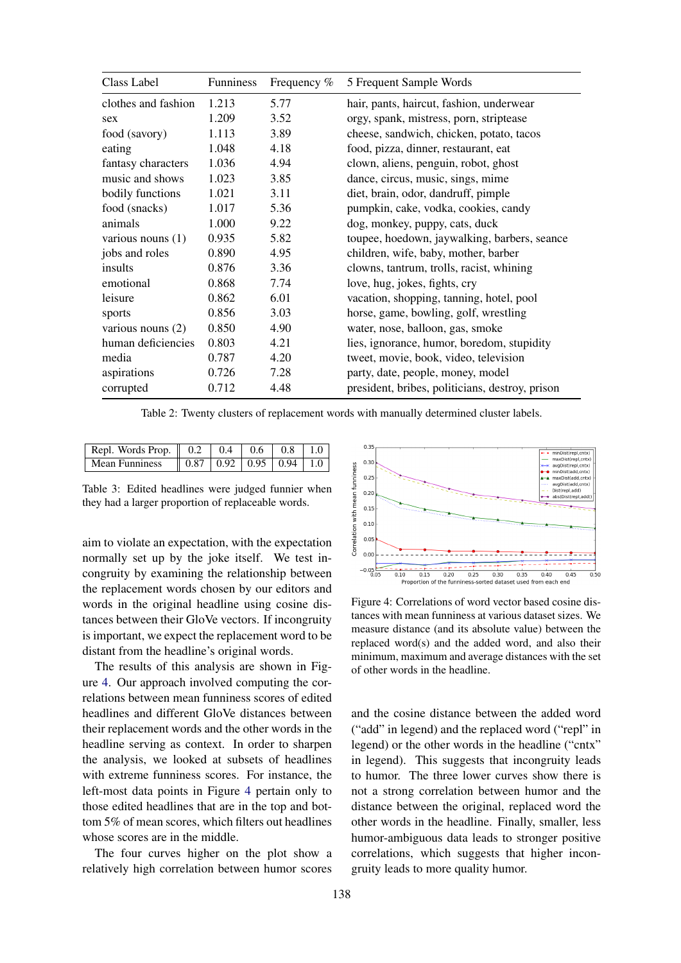| Class Label         | Funniness | Frequency % | 5 Frequent Sample Words                         |
|---------------------|-----------|-------------|-------------------------------------------------|
| clothes and fashion | 1.213     | 5.77        | hair, pants, haircut, fashion, underwear        |
| sex                 | 1.209     | 3.52        | orgy, spank, mistress, porn, striptease         |
| food (savory)       | 1.113     | 3.89        | cheese, sandwich, chicken, potato, tacos        |
| eating              | 1.048     | 4.18        | food, pizza, dinner, restaurant, eat            |
| fantasy characters  | 1.036     | 4.94        | clown, aliens, penguin, robot, ghost            |
| music and shows     | 1.023     | 3.85        | dance, circus, music, sings, mime               |
| bodily functions    | 1.021     | 3.11        | diet, brain, odor, dandruff, pimple             |
| food (snacks)       | 1.017     | 5.36        | pumpkin, cake, vodka, cookies, candy            |
| animals             | 1.000     | 9.22        | dog, monkey, puppy, cats, duck                  |
| various nouns $(1)$ | 0.935     | 5.82        | toupee, hoedown, jaywalking, barbers, seance    |
| jobs and roles      | 0.890     | 4.95        | children, wife, baby, mother, barber            |
| insults             | 0.876     | 3.36        | clowns, tantrum, trolls, racist, whining        |
| emotional           | 0.868     | 7.74        | love, hug, jokes, fights, cry                   |
| leisure             | 0.862     | 6.01        | vacation, shopping, tanning, hotel, pool        |
| sports              | 0.856     | 3.03        | horse, game, bowling, golf, wrestling           |
| various nouns $(2)$ | 0.850     | 4.90        | water, nose, balloon, gas, smoke                |
| human deficiencies  | 0.803     | 4.21        | lies, ignorance, humor, boredom, stupidity      |
| media               | 0.787     | 4.20        | tweet, movie, book, video, television           |
| aspirations         | 0.726     | 7.28        | party, date, people, money, model               |
| corrupted           | 0.712     | 4.48        | president, bribes, politicians, destroy, prison |

Table 2: Twenty clusters of replacement words with manually determined cluster labels.

| Repl. Words Prop. $\parallel$ 0.2   0.4   0.6   0.8   1.0 |  |  |  |
|-----------------------------------------------------------|--|--|--|
| Mean Funniness    0.87   0.92   0.95   0.94   1.0         |  |  |  |

Table 3: Edited headlines were judged funnier when they had a larger proportion of replaceable words.

aim to violate an expectation, with the expectation normally set up by the joke itself. We test incongruity by examining the relationship between the replacement words chosen by our editors and words in the original headline using cosine distances between their GloVe vectors. If incongruity is important, we expect the replacement word to be distant from the headline's original words.

The results of this analysis are shown in Figure 4. Our approach involved computing the correlations between mean funniness scores of edited headlines and different GloVe distances between their replacement words and the other words in the headline serving as context. In order to sharpen the analysis, we looked at subsets of headlines with extreme funniness scores. For instance, the left-most data points in Figure 4 pertain only to those edited headlines that are in the top and bottom 5% of mean scores, which filters out headlines whose scores are in the middle.

The four curves higher on the plot show a relatively high correlation between humor scores



Figure 4: Correlations of word vector based cosine distances with mean funniness at various dataset sizes. We measure distance (and its absolute value) between the replaced word(s) and the added word, and also their minimum, maximum and average distances with the set of other words in the headline.

and the cosine distance between the added word ("add" in legend) and the replaced word ("repl" in legend) or the other words in the headline ("cntx" in legend). This suggests that incongruity leads to humor. The three lower curves show there is not a strong correlation between humor and the distance between the original, replaced word the other words in the headline. Finally, smaller, less humor-ambiguous data leads to stronger positive correlations, which suggests that higher incongruity leads to more quality humor.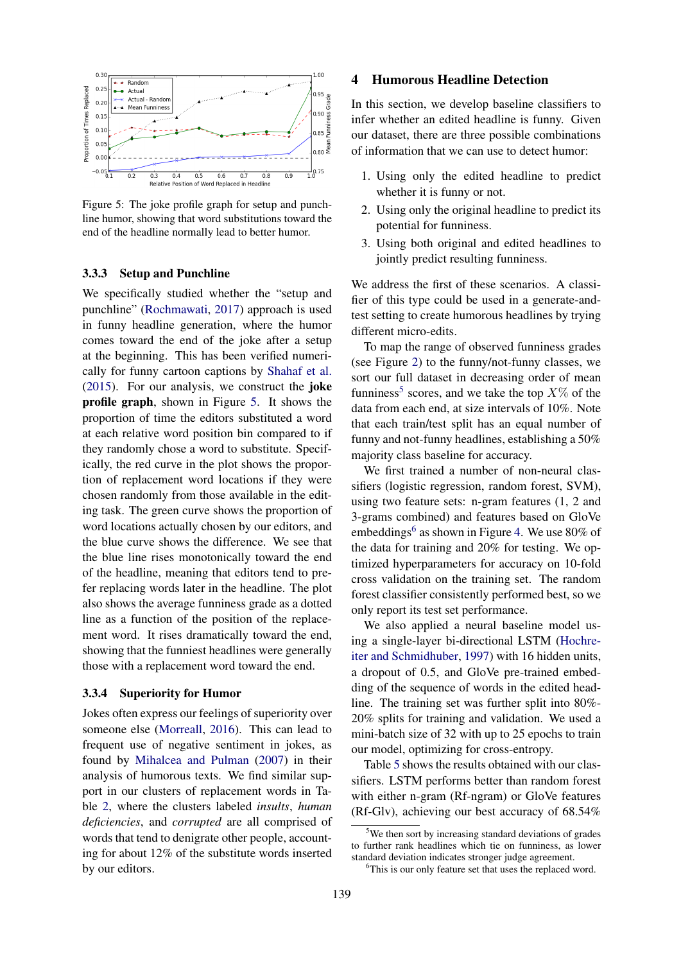

Figure 5: The joke profile graph for setup and punchline humor, showing that word substitutions toward the end of the headline normally lead to better humor.

#### 3.3.3 Setup and Punchline

We specifically studied whether the "setup and punchline" (Rochmawati, 2017) approach is used in funny headline generation, where the humor comes toward the end of the joke after a setup at the beginning. This has been verified numerically for funny cartoon captions by Shahaf et al. (2015). For our analysis, we construct the joke profile graph, shown in Figure 5. It shows the proportion of time the editors substituted a word at each relative word position bin compared to if they randomly chose a word to substitute. Specifically, the red curve in the plot shows the proportion of replacement word locations if they were chosen randomly from those available in the editing task. The green curve shows the proportion of word locations actually chosen by our editors, and the blue curve shows the difference. We see that the blue line rises monotonically toward the end of the headline, meaning that editors tend to prefer replacing words later in the headline. The plot also shows the average funniness grade as a dotted line as a function of the position of the replacement word. It rises dramatically toward the end, showing that the funniest headlines were generally those with a replacement word toward the end.

#### 3.3.4 Superiority for Humor

Jokes often express our feelings of superiority over someone else (Morreall, 2016). This can lead to frequent use of negative sentiment in jokes, as found by Mihalcea and Pulman (2007) in their analysis of humorous texts. We find similar support in our clusters of replacement words in Table 2, where the clusters labeled *insults*, *human deficiencies*, and *corrupted* are all comprised of words that tend to denigrate other people, accounting for about 12% of the substitute words inserted by our editors.

#### 4 Humorous Headline Detection

In this section, we develop baseline classifiers to infer whether an edited headline is funny. Given our dataset, there are three possible combinations of information that we can use to detect humor:

- 1. Using only the edited headline to predict whether it is funny or not.
- 2. Using only the original headline to predict its potential for funniness.
- 3. Using both original and edited headlines to jointly predict resulting funniness.

We address the first of these scenarios. A classifier of this type could be used in a generate-andtest setting to create humorous headlines by trying different micro-edits.

To map the range of observed funniness grades (see Figure 2) to the funny/not-funny classes, we sort our full dataset in decreasing order of mean funniness<sup>5</sup> scores, and we take the top  $X\%$  of the data from each end, at size intervals of 10%. Note that each train/test split has an equal number of funny and not-funny headlines, establishing a 50% majority class baseline for accuracy.

We first trained a number of non-neural classifiers (logistic regression, random forest, SVM), using two feature sets: n-gram features (1, 2 and 3-grams combined) and features based on GloVe embeddings<sup>6</sup> as shown in Figure 4. We use 80% of the data for training and 20% for testing. We optimized hyperparameters for accuracy on 10-fold cross validation on the training set. The random forest classifier consistently performed best, so we only report its test set performance.

We also applied a neural baseline model using a single-layer bi-directional LSTM (Hochreiter and Schmidhuber, 1997) with 16 hidden units, a dropout of 0.5, and GloVe pre-trained embedding of the sequence of words in the edited headline. The training set was further split into 80%- 20% splits for training and validation. We used a mini-batch size of 32 with up to 25 epochs to train our model, optimizing for cross-entropy.

Table 5 shows the results obtained with our classifiers. LSTM performs better than random forest with either n-gram (Rf-ngram) or GloVe features (Rf-Glv), achieving our best accuracy of 68.54%

<sup>&</sup>lt;sup>5</sup>We then sort by increasing standard deviations of grades to further rank headlines which tie on funniness, as lower standard deviation indicates stronger judge agreement.

<sup>&</sup>lt;sup>6</sup>This is our only feature set that uses the replaced word.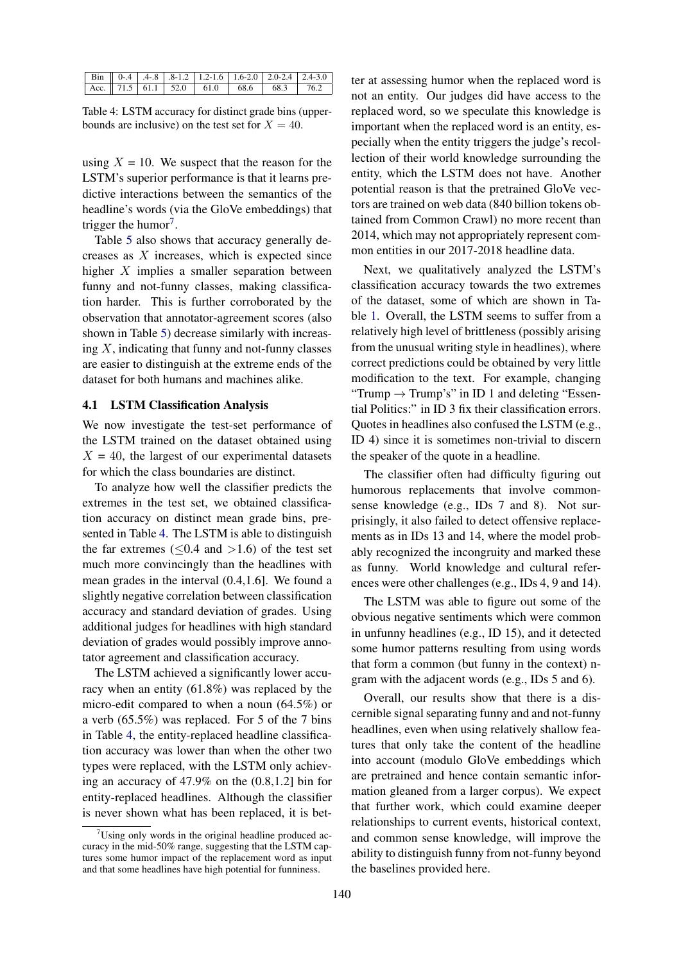|  |  |  | <b>Bin</b> $\begin{bmatrix} 0.4 & 4.8 & 8.12 & 1.2 & 1.6 & 1.6 & 2.0 & 2.0 & 2.4 & 2.4 & 3.0 \end{bmatrix}$ |
|--|--|--|-------------------------------------------------------------------------------------------------------------|
|  |  |  |                                                                                                             |

Table 4: LSTM accuracy for distinct grade bins (upperbounds are inclusive) on the test set for  $X = 40$ .

using  $X = 10$ . We suspect that the reason for the LSTM's superior performance is that it learns predictive interactions between the semantics of the headline's words (via the GloVe embeddings) that trigger the humor<sup>7</sup>.

Table 5 also shows that accuracy generally decreases as X increases, which is expected since higher X implies a smaller separation between funny and not-funny classes, making classification harder. This is further corroborated by the observation that annotator-agreement scores (also shown in Table 5) decrease similarly with increasing  $X$ , indicating that funny and not-funny classes are easier to distinguish at the extreme ends of the dataset for both humans and machines alike.

#### 4.1 LSTM Classification Analysis

We now investigate the test-set performance of the LSTM trained on the dataset obtained using  $X = 40$ , the largest of our experimental datasets for which the class boundaries are distinct.

To analyze how well the classifier predicts the extremes in the test set, we obtained classification accuracy on distinct mean grade bins, presented in Table 4. The LSTM is able to distinguish the far extremes ( $\leq 0.4$  and  $> 1.6$ ) of the test set much more convincingly than the headlines with mean grades in the interval (0.4,1.6]. We found a slightly negative correlation between classification accuracy and standard deviation of grades. Using additional judges for headlines with high standard deviation of grades would possibly improve annotator agreement and classification accuracy.

The LSTM achieved a significantly lower accuracy when an entity (61.8%) was replaced by the micro-edit compared to when a noun (64.5%) or a verb (65.5%) was replaced. For 5 of the 7 bins in Table 4, the entity-replaced headline classification accuracy was lower than when the other two types were replaced, with the LSTM only achieving an accuracy of 47.9% on the (0.8,1.2] bin for entity-replaced headlines. Although the classifier is never shown what has been replaced, it is better at assessing humor when the replaced word is not an entity. Our judges did have access to the replaced word, so we speculate this knowledge is important when the replaced word is an entity, especially when the entity triggers the judge's recollection of their world knowledge surrounding the entity, which the LSTM does not have. Another potential reason is that the pretrained GloVe vectors are trained on web data (840 billion tokens obtained from Common Crawl) no more recent than 2014, which may not appropriately represent common entities in our 2017-2018 headline data.

Next, we qualitatively analyzed the LSTM's classification accuracy towards the two extremes of the dataset, some of which are shown in Table 1. Overall, the LSTM seems to suffer from a relatively high level of brittleness (possibly arising from the unusual writing style in headlines), where correct predictions could be obtained by very little modification to the text. For example, changing "Trump  $\rightarrow$  Trump's" in ID 1 and deleting "Essential Politics:" in ID 3 fix their classification errors. Quotes in headlines also confused the LSTM (e.g., ID 4) since it is sometimes non-trivial to discern the speaker of the quote in a headline.

The classifier often had difficulty figuring out humorous replacements that involve commonsense knowledge (e.g., IDs 7 and 8). Not surprisingly, it also failed to detect offensive replacements as in IDs 13 and 14, where the model probably recognized the incongruity and marked these as funny. World knowledge and cultural references were other challenges (e.g., IDs 4, 9 and 14).

The LSTM was able to figure out some of the obvious negative sentiments which were common in unfunny headlines (e.g., ID 15), and it detected some humor patterns resulting from using words that form a common (but funny in the context) ngram with the adjacent words (e.g., IDs 5 and 6).

Overall, our results show that there is a discernible signal separating funny and and not-funny headlines, even when using relatively shallow features that only take the content of the headline into account (modulo GloVe embeddings which are pretrained and hence contain semantic information gleaned from a larger corpus). We expect that further work, which could examine deeper relationships to current events, historical context, and common sense knowledge, will improve the ability to distinguish funny from not-funny beyond the baselines provided here.

 $7$ Using only words in the original headline produced accuracy in the mid-50% range, suggesting that the LSTM captures some humor impact of the replacement word as input and that some headlines have high potential for funniness.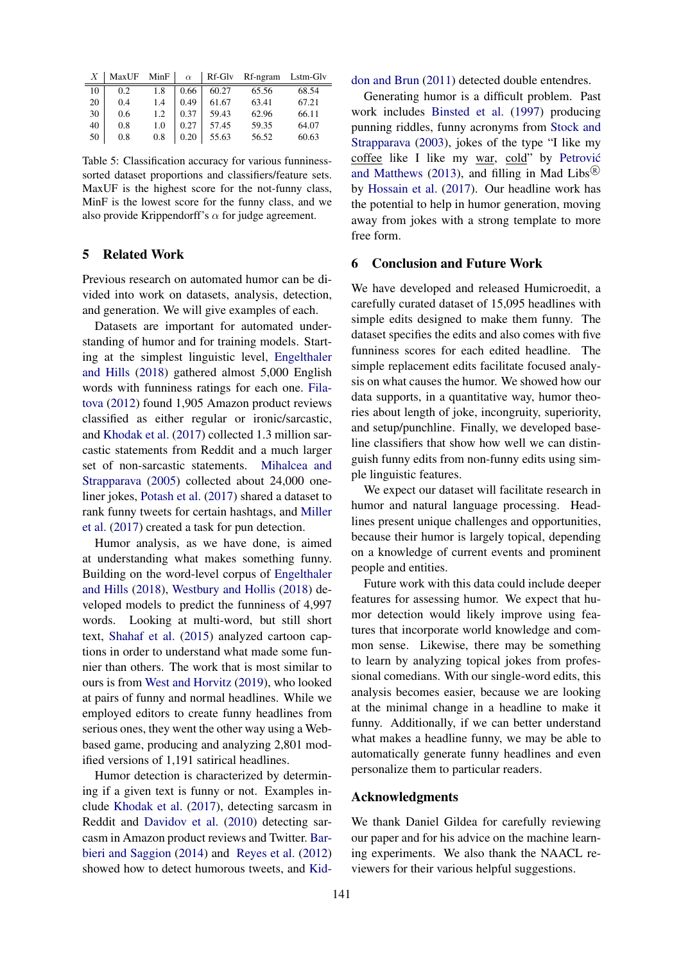| Х  | MaxUF | MinF | $\alpha$ | Rf-Glv | Rf-ngram | Lstm-Glv |
|----|-------|------|----------|--------|----------|----------|
| 10 | 0.2   | 1.8  | 0.66     | 60.27  | 65.56    | 68.54    |
| 20 | 0.4   | 1.4  | 0.49     | 61.67  | 63.41    | 67.21    |
| 30 | 0.6   | 1.2  | 0.37     | 59.43  | 62.96    | 66.11    |
| 40 | 0.8   | 1.0  | 0.27     | 57.45  | 59.35    | 64.07    |
| 50 | 0.8   | 0.8  | 0.20     | 55.63  | 56.52    | 60.63    |

Table 5: Classification accuracy for various funninesssorted dataset proportions and classifiers/feature sets. MaxUF is the highest score for the not-funny class, MinF is the lowest score for the funny class, and we also provide Krippendorff's  $\alpha$  for judge agreement.

#### 5 Related Work

Previous research on automated humor can be divided into work on datasets, analysis, detection, and generation. We will give examples of each.

Datasets are important for automated understanding of humor and for training models. Starting at the simplest linguistic level, Engelthaler and Hills (2018) gathered almost 5,000 English words with funniness ratings for each one. Filatova (2012) found 1,905 Amazon product reviews classified as either regular or ironic/sarcastic, and Khodak et al. (2017) collected 1.3 million sarcastic statements from Reddit and a much larger set of non-sarcastic statements. Mihalcea and Strapparava (2005) collected about 24,000 oneliner jokes, Potash et al. (2017) shared a dataset to rank funny tweets for certain hashtags, and Miller et al. (2017) created a task for pun detection.

Humor analysis, as we have done, is aimed at understanding what makes something funny. Building on the word-level corpus of Engelthaler and Hills (2018), Westbury and Hollis (2018) developed models to predict the funniness of 4,997 words. Looking at multi-word, but still short text, Shahaf et al. (2015) analyzed cartoon captions in order to understand what made some funnier than others. The work that is most similar to ours is from West and Horvitz (2019), who looked at pairs of funny and normal headlines. While we employed editors to create funny headlines from serious ones, they went the other way using a Webbased game, producing and analyzing 2,801 modified versions of 1,191 satirical headlines.

Humor detection is characterized by determining if a given text is funny or not. Examples include Khodak et al. (2017), detecting sarcasm in Reddit and Davidov et al. (2010) detecting sarcasm in Amazon product reviews and Twitter. Barbieri and Saggion (2014) and Reyes et al. (2012) showed how to detect humorous tweets, and Kiddon and Brun (2011) detected double entendres.

Generating humor is a difficult problem. Past work includes Binsted et al. (1997) producing punning riddles, funny acronyms from Stock and Strapparava (2003), jokes of the type "I like my coffee like I like my war, cold" by Petrovic´ and Matthews (2013), and filling in Mad Libs $<sup>(R)</sup>$ </sup> by Hossain et al. (2017). Our headline work has the potential to help in humor generation, moving away from jokes with a strong template to more free form.

#### 6 Conclusion and Future Work

We have developed and released Humicroedit, a carefully curated dataset of 15,095 headlines with simple edits designed to make them funny. The dataset specifies the edits and also comes with five funniness scores for each edited headline. The simple replacement edits facilitate focused analysis on what causes the humor. We showed how our data supports, in a quantitative way, humor theories about length of joke, incongruity, superiority, and setup/punchline. Finally, we developed baseline classifiers that show how well we can distinguish funny edits from non-funny edits using simple linguistic features.

We expect our dataset will facilitate research in humor and natural language processing. Headlines present unique challenges and opportunities, because their humor is largely topical, depending on a knowledge of current events and prominent people and entities.

Future work with this data could include deeper features for assessing humor. We expect that humor detection would likely improve using features that incorporate world knowledge and common sense. Likewise, there may be something to learn by analyzing topical jokes from professional comedians. With our single-word edits, this analysis becomes easier, because we are looking at the minimal change in a headline to make it funny. Additionally, if we can better understand what makes a headline funny, we may be able to automatically generate funny headlines and even personalize them to particular readers.

## Acknowledgments

We thank Daniel Gildea for carefully reviewing our paper and for his advice on the machine learning experiments. We also thank the NAACL reviewers for their various helpful suggestions.